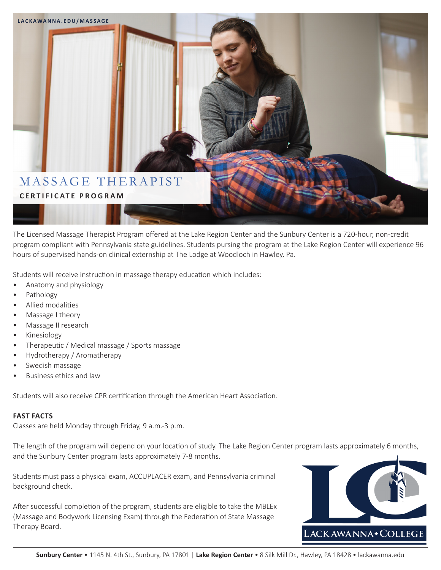

The Licensed Massage Therapist Program offered at the Lake Region Center and the Sunbury Center is a 720-hour, non-credit program compliant with Pennsylvania state guidelines. Students pursing the program at the Lake Region Center will experience 96 hours of supervised hands-on clinical externship at The Lodge at Woodloch in Hawley, Pa.

Students will receive instruction in massage therapy education which includes:

- Anatomy and physiology
- Pathology
- Allied modalities
- Massage I theory
- Massage II research
- Kinesiology
- Therapeutic / Medical massage / Sports massage
- Hydrotherapy / Aromatherapy
- Swedish massage
- Business ethics and law

Students will also receive CPR certification through the American Heart Association.

## **FAST FACTS**

Classes are held Monday through Friday, 9 a.m.-3 p.m.

The length of the program will depend on your location of study. The Lake Region Center program lasts approximately 6 months, and the Sunbury Center program lasts approximately 7-8 months.

Students must pass a physical exam, ACCUPLACER exam, and Pennsylvania criminal background check.

After successful completion of the program, students are eligible to take the MBLEx (Massage and Bodywork Licensing Exam) through the Federation of State Massage Therapy Board.